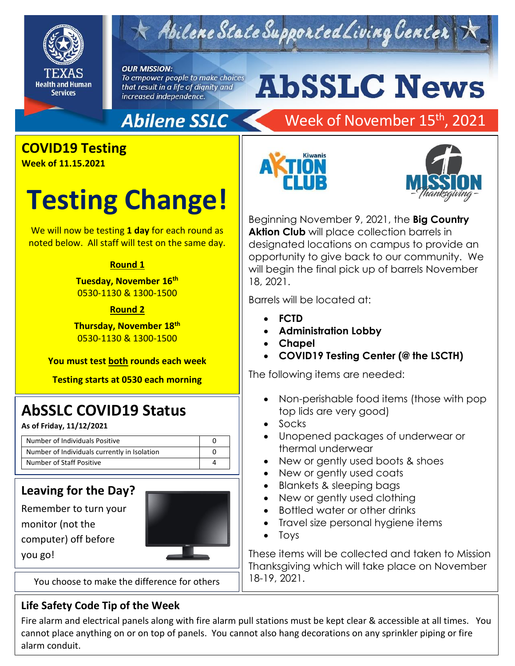

## Abilene State Supported Living Center

#### **OUR MISSION:**

To empower people to make choices that result in a life of dignity and increased independence.

# **AbSSLC News**

## **Abilene SSLC**

### Week of November 15<sup>th</sup>, 2021

## **COVID19 Testing**

**Week of 11.15.2021**

## **Testing Change!**

We will now be testing **1 day** for each round as noted below. All staff will test on the same day.

#### **Round 1**

**Tuesday, November 16th** 0530-1130 & 1300-1500

#### **Round 2**

**Thursday, November 18 th** 0530-1130 & 1300-1500

**You must test both rounds each week**

**Testing starts at 0530 each morning**

### **AbSSLC COVID19 Status**

**As of Friday, 11/12/2021**

| Number of Individuals Positive               |  |
|----------------------------------------------|--|
| Number of Individuals currently in Isolation |  |
| Number of Staff Positive                     |  |

#### **Leaving for the Day?**

Remember to turn your monitor (not the computer) off before you go!



You choose to make the difference for others

#### **Life Safety Code Tip of the Week**

Fire alarm and electrical panels along with fire alarm pull stations must be kept clear & accessible at all times. You cannot place anything on or on top of panels. You cannot also hang decorations on any sprinkler piping or fire alarm conduit.





Beginning November 9, 2021, the **Big Country Aktion Club** will place collection barrels in designated locations on campus to provide an opportunity to give back to our community. We will begin the final pick up of barrels November 18, 2021.

Barrels will be located at:

- **FCTD**
- **Administration Lobby**
- **Chapel**
- **COVID19 Testing Center (@ the LSCTH)**

The following items are needed:

- Non-perishable food items (those with pop top lids are very good)
- Socks
- Unopened packages of underwear or thermal underwear
- New or gently used boots & shoes
- New or gently used coats
- Blankets & sleeping bags
- New or gently used clothing
- Bottled water or other drinks
- Travel size personal hygiene items
- Toys

These items will be collected and taken to Mission Thanksgiving which will take place on November 18-19, 2021.